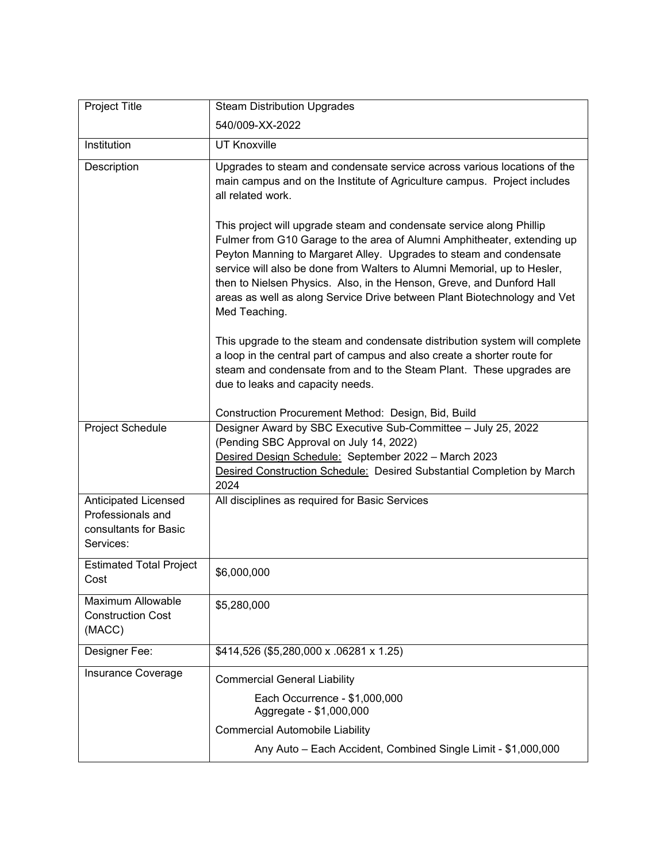| <b>Project Title</b>                                                                   | <b>Steam Distribution Upgrades</b>                                                                                                                                                                                                                                                                                                                                                                                                                                      |
|----------------------------------------------------------------------------------------|-------------------------------------------------------------------------------------------------------------------------------------------------------------------------------------------------------------------------------------------------------------------------------------------------------------------------------------------------------------------------------------------------------------------------------------------------------------------------|
|                                                                                        | 540/009-XX-2022                                                                                                                                                                                                                                                                                                                                                                                                                                                         |
| Institution                                                                            | <b>UT Knoxville</b>                                                                                                                                                                                                                                                                                                                                                                                                                                                     |
| Description                                                                            | Upgrades to steam and condensate service across various locations of the<br>main campus and on the Institute of Agriculture campus. Project includes<br>all related work.                                                                                                                                                                                                                                                                                               |
|                                                                                        | This project will upgrade steam and condensate service along Phillip<br>Fulmer from G10 Garage to the area of Alumni Amphitheater, extending up<br>Peyton Manning to Margaret Alley. Upgrades to steam and condensate<br>service will also be done from Walters to Alumni Memorial, up to Hesler,<br>then to Nielsen Physics. Also, in the Henson, Greve, and Dunford Hall<br>areas as well as along Service Drive between Plant Biotechnology and Vet<br>Med Teaching. |
|                                                                                        | This upgrade to the steam and condensate distribution system will complete<br>a loop in the central part of campus and also create a shorter route for<br>steam and condensate from and to the Steam Plant. These upgrades are<br>due to leaks and capacity needs.                                                                                                                                                                                                      |
|                                                                                        | Construction Procurement Method: Design, Bid, Build                                                                                                                                                                                                                                                                                                                                                                                                                     |
| Project Schedule                                                                       | Designer Award by SBC Executive Sub-Committee - July 25, 2022<br>(Pending SBC Approval on July 14, 2022)<br>Desired Design Schedule: September 2022 - March 2023<br>Desired Construction Schedule: Desired Substantial Completion by March<br>2024                                                                                                                                                                                                                      |
| <b>Anticipated Licensed</b><br>Professionals and<br>consultants for Basic<br>Services: | All disciplines as required for Basic Services                                                                                                                                                                                                                                                                                                                                                                                                                          |
| <b>Estimated Total Project</b><br>Cost                                                 | \$6,000,000                                                                                                                                                                                                                                                                                                                                                                                                                                                             |
| Maximum Allowable<br><b>Construction Cost</b><br>(MACC)                                | \$5,280,000                                                                                                                                                                                                                                                                                                                                                                                                                                                             |
| Designer Fee:                                                                          | \$414,526 (\$5,280,000 x .06281 x 1.25)                                                                                                                                                                                                                                                                                                                                                                                                                                 |
| Insurance Coverage                                                                     | <b>Commercial General Liability</b>                                                                                                                                                                                                                                                                                                                                                                                                                                     |
|                                                                                        | Each Occurrence - \$1,000,000<br>Aggregate - \$1,000,000                                                                                                                                                                                                                                                                                                                                                                                                                |
|                                                                                        | <b>Commercial Automobile Liability</b>                                                                                                                                                                                                                                                                                                                                                                                                                                  |
|                                                                                        | Any Auto - Each Accident, Combined Single Limit - \$1,000,000                                                                                                                                                                                                                                                                                                                                                                                                           |